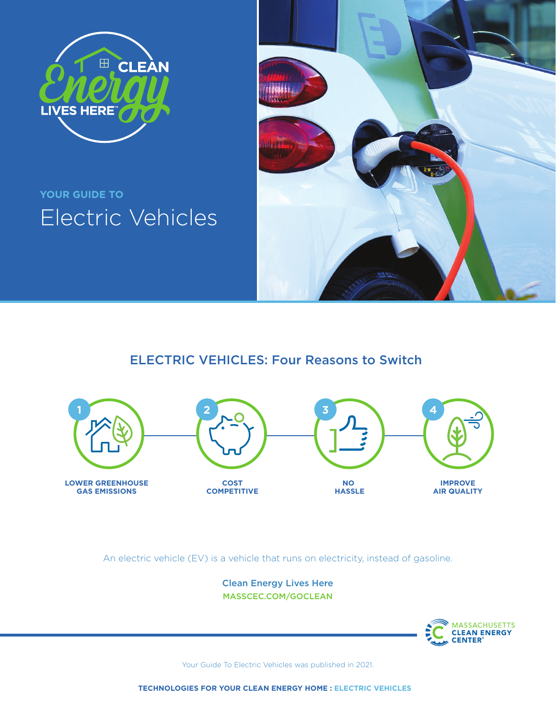

# **YOUR GUIDE TO**  Electric Vehicles



### ELECTRIC VEHICLES: Four Reasons to Switch



An electric vehicle (EV) is a vehicle that runs on electricity, instead of gasoline.

Clean Energy Lives Here [MASSCEC.COM/GOCLEAN](http://masscec.com/goclean)



Your Guide To Electric Vehicles was published in 2021.

**TECHNOLOGIES FOR YOUR CLEAN ENERGY HOME : ELECTRIC VEHICLES**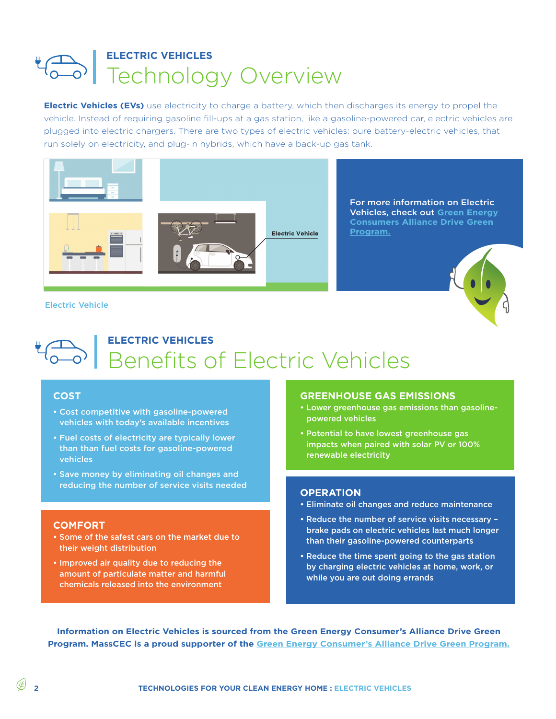## **ELECTRIC VEHICLES** Technology Overview

**Electric Vehicles (EVs)** use electricity to charge a battery, which then discharges its energy to propel the vehicle. Instead of requiring gasoline fill-ups at a gas station, like a gasoline-powered car, electric vehicles are plugged into electric chargers. There are two types of electric vehicles: pure battery-electric vehicles, that run solely on electricity, and plug-in hybrids, which have a back-up gas tank.



[For more information on Electric](https://www.greenenergyconsumers.org/drivegreen)  Vehicles, check out **[Green Energy](https://www.greenenergyconsumers.org/drivegreen)  [Consumers Alliance Drive Green](https://www.greenenergyconsumers.org/drivegreen)  [Program.](https://www.greenenergyconsumers.org/drivegreen)**



#### Electric Vehicle

### **ELECTRIC VEHICLES** Benefits of Electric Vehicles

### **COST**

- Cost competitive with gasoline-powered vehicles with today's available incentives
- Fuel costs of electricity are typically lower than than fuel costs for gasoline-powered vehicles
- Save money by eliminating oil changes and reducing the number of service visits needed

### **COMFORT**

- Some of the safest cars on the market due to their weight distribution
- Improved air quality due to reducing the amount of particulate matter and harmful chemicals released into the environment

### **GREENHOUSE GAS EMISSIONS**

- Lower greenhouse gas emissions than gasolinepowered vehicles
- Potential to have lowest greenhouse gas impacts when paired with solar PV or 100% renewable electricity

#### **OPERATION**

- Eliminate oil changes and reduce maintenance
- Reduce the number of service visits necessary brake pads on electric vehicles last much longer than their gasoline-powered counterparts
- Reduce the time spent going to the gas station by charging electric vehicles at home, work, or while you are out doing errands

**Information on Electric Vehicles is sourced from the Green Energy Consumer's Alliance Drive Green Program. MassCEC is a proud supporter of the [Green Energy Consumer's Alliance Drive Green Program.](https://www.greenenergyconsumers.org/drivegreen)**

**2**